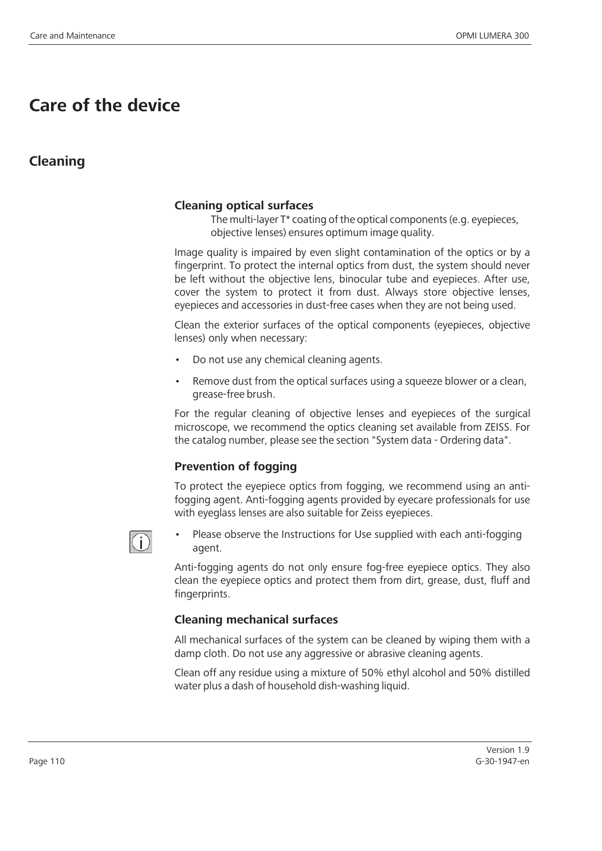# **Care of the device**

## **Cleaning**

### **Cleaning optical surfaces**

The multi-layer T\* coating of the optical components (e.g. eyepieces, objective lenses) ensures optimum image quality.

Image quality is impaired by even slight contamination of the optics or by a fingerprint. To protect the internal optics from dust, the system should never be left without the objective lens, binocular tube and eyepieces. After use, cover the system to protect it from dust. Always store objective lenses, eyepieces and accessories in dust-free cases when they are not being used.

Clean the exterior surfaces of the optical components (eyepieces, objective lenses) only when necessary:

- Do not use any chemical cleaning agents.
- Remove dust from the optical surfaces using a squeeze blower or a clean, grease-free brush.

For the regular cleaning of objective lenses and eyepieces of the surgical microscope, we recommend the optics cleaning set available from ZEISS. For the catalog number, please see the section "System data - Ordering data".

### **Prevention of fogging**

To protect the eyepiece optics from fogging, we recommend using an antifogging agent. Anti-fogging agents provided by eyecare professionals for use with eyeglass lenses are also suitable for Zeiss eyepieces.



Please observe the Instructions for Use supplied with each anti-fogging agent.

Anti-fogging agents do not only ensure fog-free eyepiece optics. They also clean the eyepiece optics and protect them from dirt, grease, dust, fluff and fingerprints.

### **Cleaning mechanical surfaces**

All mechanical surfaces of the system can be cleaned by wiping them with a damp cloth. Do not use any aggressive or abrasive cleaning agents.

Clean off any residue using a mixture of 50% ethyl alcohol and 50% distilled water plus a dash of household dish-washing liquid.